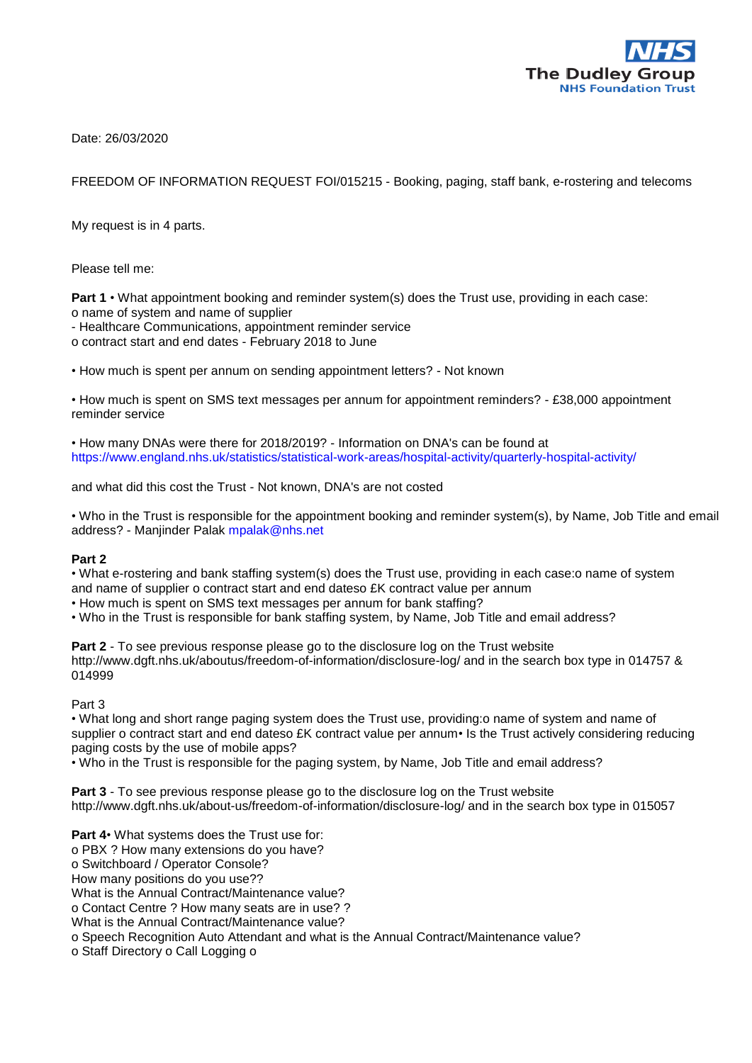

Date: 26/03/2020

FREEDOM OF INFORMATION REQUEST FOI/015215 - Booking, paging, staff bank, e-rostering and telecoms

My request is in 4 parts.

Please tell me:

**Part 1** • What appointment booking and reminder system(s) does the Trust use, providing in each case: o name of system and name of supplier

- Healthcare Communications, appointment reminder service

o contract start and end dates - February 2018 to June

• How much is spent per annum on sending appointment letters? - Not known

• How much is spent on SMS text messages per annum for appointment reminders? - £38,000 appointment reminder service

• How many DNAs were there for 2018/2019? - Information on DNA's can be found at https://www.england.nhs.uk/statistics/statistical-work-areas/hospital-activity/quarterly-hospital-activity/

and what did this cost the Trust - Not known, DNA's are not costed

• Who in the Trust is responsible for the appointment booking and reminder system(s), by Name, Job Title and email address? - Manjinder Palak mpalak@nhs.net

## **Part 2**

• What e-rostering and bank staffing system(s) does the Trust use, providing in each case:o name of system and name of supplier o contract start and end dateso £K contract value per annum

• How much is spent on SMS text messages per annum for bank staffing?

• Who in the Trust is responsible for bank staffing system, by Name, Job Title and email address?

**Part 2** - To see previous response please go to the disclosure log on the Trust website http://www.dgft.nhs.uk/aboutus/freedom-of-information/disclosure-log/ and in the search box type in 014757 & 014999

Part 3

• What long and short range paging system does the Trust use, providing:o name of system and name of supplier o contract start and end dateso £K contract value per annum • Is the Trust actively considering reducing paging costs by the use of mobile apps?

• Who in the Trust is responsible for the paging system, by Name, Job Title and email address?

**Part 3** - To see previous response please go to the disclosure log on the Trust website http://www.dgft.nhs.uk/about-us/freedom-of-information/disclosure-log/ and in the search box type in 015057

**Part 4**• What systems does the Trust use for: o PBX ? How many extensions do you have? o Switchboard / Operator Console? How many positions do you use?? What is the Annual Contract/Maintenance value? o Contact Centre ? How many seats are in use? ? What is the Annual Contract/Maintenance value? o Speech Recognition Auto Attendant and what is the Annual Contract/Maintenance value? o Staff Directory o Call Logging o